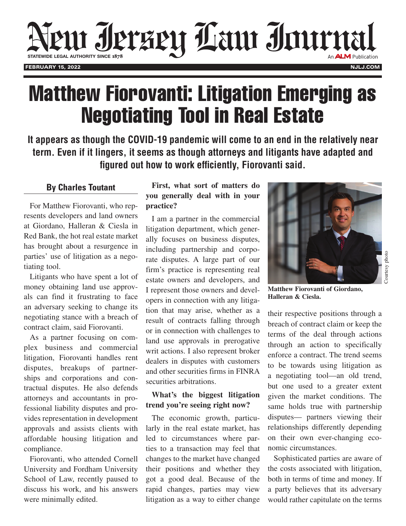

# Matthew Fiorovanti: Litigation Emerging as Negotiating Tool in Real Estate

**It appears as though the COVID-19 pandemic will come to an end in the relatively near term. Even if it lingers, it seems as though attorneys and litigants have adapted and figured out how to work efficiently, Fiorovanti said.**

#### **By Charles Toutant**

For Matthew Fiorovanti, who represents developers and land owners at Giordano, Halleran & Ciesla in Red Bank, the hot real estate market has brought about a resurgence in parties' use of litigation as a negotiating tool.

Litigants who have spent a lot of money obtaining land use approvals can find it frustrating to face an adversary seeking to change its negotiating stance with a breach of contract claim, said Fiorovanti.

As a partner focusing on complex business and commercial litigation, Fiorovanti handles rent disputes, breakups of partnerships and corporations and contractual disputes. He also defends attorneys and accountants in professional liability disputes and provides representation in development approvals and assists clients with affordable housing litigation and compliance.

Fiorovanti, who attended Cornell University and Fordham University School of Law, recently paused to discuss his work, and his answers were minimally edited.

### **First, what sort of matters do you generally deal with in your practice?**

I am a partner in the commercial litigation department, which generally focuses on business disputes, including partnership and corporate disputes. A large part of our firm's practice is representing real estate owners and developers, and I represent those owners and developers in connection with any litigation that may arise, whether as a result of contracts falling through or in connection with challenges to land use approvals in prerogative writ actions. I also represent broker dealers in disputes with customers and other securities firms in FINRA securities arbitrations.

### **What's the biggest litigation trend you're seeing right now?**

The economic growth, particularly in the real estate market, has led to circumstances where parties to a transaction may feel that changes to the market have changed their positions and whether they got a good deal. Because of the rapid changes, parties may view litigation as a way to either change



**Matthew Fiorovanti of Giordano, Halleran & Ciesla.**

their respective positions through a breach of contract claim or keep the terms of the deal through actions through an action to specifically enforce a contract. The trend seems to be towards using litigation as a negotiating tool—an old trend, but one used to a greater extent given the market conditions. The same holds true with partnership disputes— partners viewing their relationships differently depending on their own ever-changing economic circumstances.

Sophisticated parties are aware of the costs associated with litigation, both in terms of time and money. If a party believes that its adversary would rather capitulate on the terms